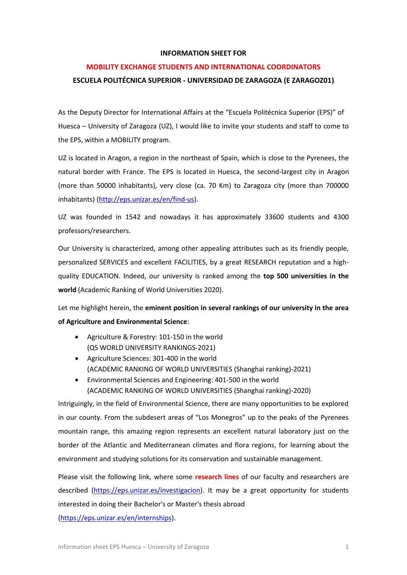# **INFORMATION SHEET FOR**

# **MOBILITY EXCHANGE STUDENTS AND INTERNATIONAL COORDINATORS**

# **ESCUELA POLITÉCNICA SUPERIOR - UNIVERSIDAD DE ZARAGOZA (E ZARAGOZ01)**

As the Deputy Director for International Affairs at the "Escuela Politécnica Superior (EPS)" of Huesca – University of Zaragoza (UZ), I would like to invite your students and staff to come to the EPS, within a MOBILITY program.

UZ is located in Aragon, a region in the northeast of Spain, which is close to the Pyrenees, the natural border with France. The EPS is located in Huesca, the second-largest city in Aragon (more than 50000 inhabitants), very close (ca. 70 Km) to Zaragoza city (more than 700000 inhabitants) [\(http://eps.unizar.es/en/find-us\)](http://eps.unizar.es/en/find-us).

UZ was founded in 1542 and nowadays it has approximately 33600 students and 4300 professors/researchers.

Our University is characterized, among other appealing attributes such as its friendly people, personalized SERVICES and excellent FACILITIES, by a great RESEARCH reputation and a highquality EDUCATION. Indeed, our university is ranked among the **top 500 universities in the world** (Academic Ranking of World Universities 2020).

Let me highlight herein, the **eminent position in several rankings of our university in the area of Agriculture and Environmental Science**:

- Agriculture & Forestry: 101-150 in the world (QS WORLD UNIVERSITY RANKINGS-2021)
- Agriculture Sciences: 301-400 in the world (ACADEMIC RANKING OF WORLD UNIVERSITIES (Shanghai ranking)-2021)
- Environmental Sciences and Engineering: 401-500 in the world (ACADEMIC RANKING OF WORLD UNIVERSITIES (Shanghai ranking)-2020)

Intriguingly, in the field of Environmental Science, there are many opportunities to be explored in our county. From the subdesert areas of "Los Monegros" up to the peaks of the Pyrenees mountain range, this amazing region represents an excellent natural laboratory just on the border of the Atlantic and Mediterranean climates and flora regions, for learning about the environment and studying solutions for its conservation and sustainable management.

Please visit the following link, where some **research lines** of our faculty and researchers are described [\(https://eps.unizar.es/investigacion\)](https://eps.unizar.es/investigacion). It may be a great opportunity for students interested in doing their Bachelor's or Master's thesis abroad [\(https://eps.unizar.es/en/internships\)](https://eps.unizar.es/en/internships).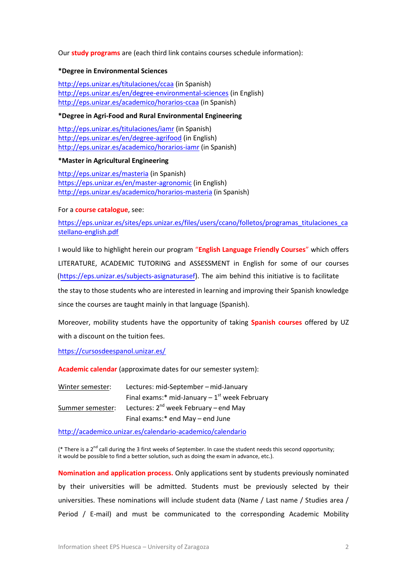Our **study programs** are (each third link contains courses schedule information):

# **\*Degree in Environmental Sciences**

<http://eps.unizar.es/titulaciones/ccaa>(in Spanish) <http://eps.unizar.es/en/degree-environmental-sciences>(in English) <http://eps.unizar.es/academico/horarios-ccaa>(in Spanish)

# **\*Degree in Agri-Food and Rural Environmental Engineering**

<http://eps.unizar.es/titulaciones/iamr>(in Spanish) <http://eps.unizar.es/en/degree-agrifood>(in English) <http://eps.unizar.es/academico/horarios-iamr>(in Spanish)

# **\*Master in Agricultural Engineering**

<http://eps.unizar.es/masteria>(in Spanish) <https://eps.unizar.es/en/master-agronomic>(in English) <http://eps.unizar.es/academico/horarios-masteria>(in Spanish)

## For a **course catalogue**, see:

[https://eps.unizar.es/sites/eps.unizar.es/files/users/ccano/folletos/programas\\_titulaciones\\_ca](https://eps.unizar.es/sites/eps.unizar.es/files/users/ccano/folletos/programas_titulaciones_castellano-english.pdf) [stellano-english.pdf](https://eps.unizar.es/sites/eps.unizar.es/files/users/ccano/folletos/programas_titulaciones_castellano-english.pdf)

I would like to highlight herein our program "**English Language Friendly Courses**" which offers LITERATURE, ACADEMIC TUTORING and ASSESSMENT in English for some of our courses (<https://eps.unizar.es/subjects-asignaturasef>). The aim behind this initiative is to facilitate the stay to those students who are interested in learning and improving their Spanish knowledge since the courses are taught mainly in that language (Spanish).

Moreover, mobility students have the opportunity of taking **Spanish courses** offered by UZ with a discount on the tuition fees.

<https://cursosdeespanol.unizar.es/>

**Academic calendar** (approximate dates for our semester system):

| Winter semester: | Lectures: mid-September - mid-January             |  |
|------------------|---------------------------------------------------|--|
|                  | Final exams:* mid-January $-1^{st}$ week February |  |
| Summer semester: | Lectures: $2^{nd}$ week February – end May        |  |
|                  | Final exams:* end May - end June                  |  |

<http://academico.unizar.es/calendario-academico/calendario>

(\* There is a 2<sup>nd</sup> call during the 3 first weeks of September. In case the student needs this second opportunity; it would be possible to find a better solution, such as doing the exam in advance, etc.).

**Nomination and application process.** Only applications sent by students previously nominated by their universities will be admitted. Students must be previously selected by their universities. These nominations will include student data (Name / Last name / Studies area / Period / E-mail) and must be communicated to the corresponding Academic Mobility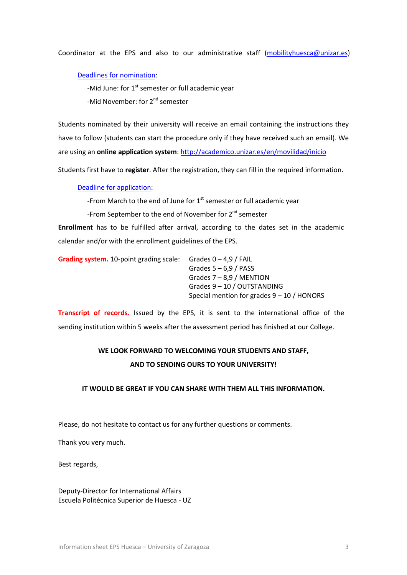Coordinator at the EPS and also to our administrative staff [\(mobilityhuesca@unizar.es](mailto:mobilityhuesca@unizar.es))

Deadlines [for nomination:](http://academico.unizar.es/en/movilidad/calendarios)

-Mid June: for  $1^{\text{st}}$  semester or full academic year

-Mid November: for 2<sup>nd</sup> semester

Students nominated by their university will receive an email containing the instructions they have to follow (students can start the procedure only if they have received such an email). We are using an **online application system**: <http://academico.unizar.es/en/movilidad/inicio>

Students first have to **register**. After the registration, they can fill in the required information.

# [Deadline for application:](http://academico.unizar.es/en/movilidad/calendarios)

-From March to the end of June for  $1<sup>st</sup>$  semester or full academic year

-From September to the end of November for 2<sup>nd</sup> semester

**Enrollment** has to be fulfilled after arrival, according to the dates set in the academic calendar and/or with the enrollment guidelines of the EPS.

| <b>Grading system.</b> 10-point grading scale: | Grades $0 - 4.9$ / FAIL                      |
|------------------------------------------------|----------------------------------------------|
|                                                | Grades $5 - 6.9$ / PASS                      |
|                                                | Grades $7 - 8.9$ / MENTION                   |
|                                                | Grades $9 - 10 /$ OUTSTANDING                |
|                                                | Special mention for grades $9 - 10$ / HONORS |

**Transcript of records.** Issued by the EPS, it is sent to the international office of the sending institution within 5 weeks after the assessment period has finished at our College.

# **WE LOOK FORWARD TO WELCOMING YOUR STUDENTS AND STAFF, AND TO SENDING OURS TO YOUR UNIVERSITY!**

## **IT WOULD BE GREAT IF YOU CAN SHARE WITH THEM ALL THIS INFORMATION.**

Please, do not hesitate to contact us for any further questions or comments.

Thank you very much.

Best regards,

Deputy-Director for International Affairs Escuela Politécnica Superior de Huesca - UZ